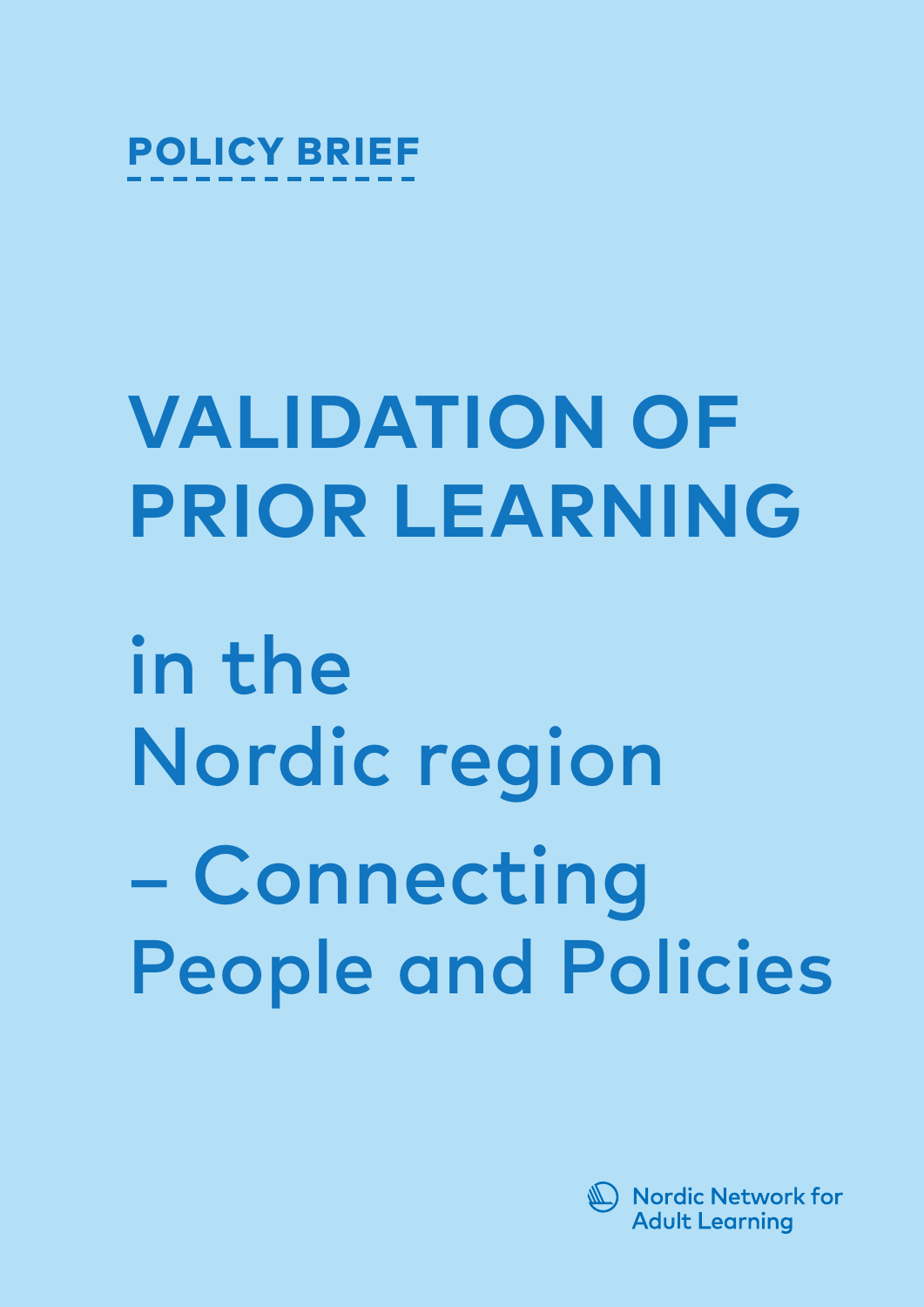

# **VALIDATION OF PRIOR LEARNING**

in the Nordic region – Connecting People and Policies

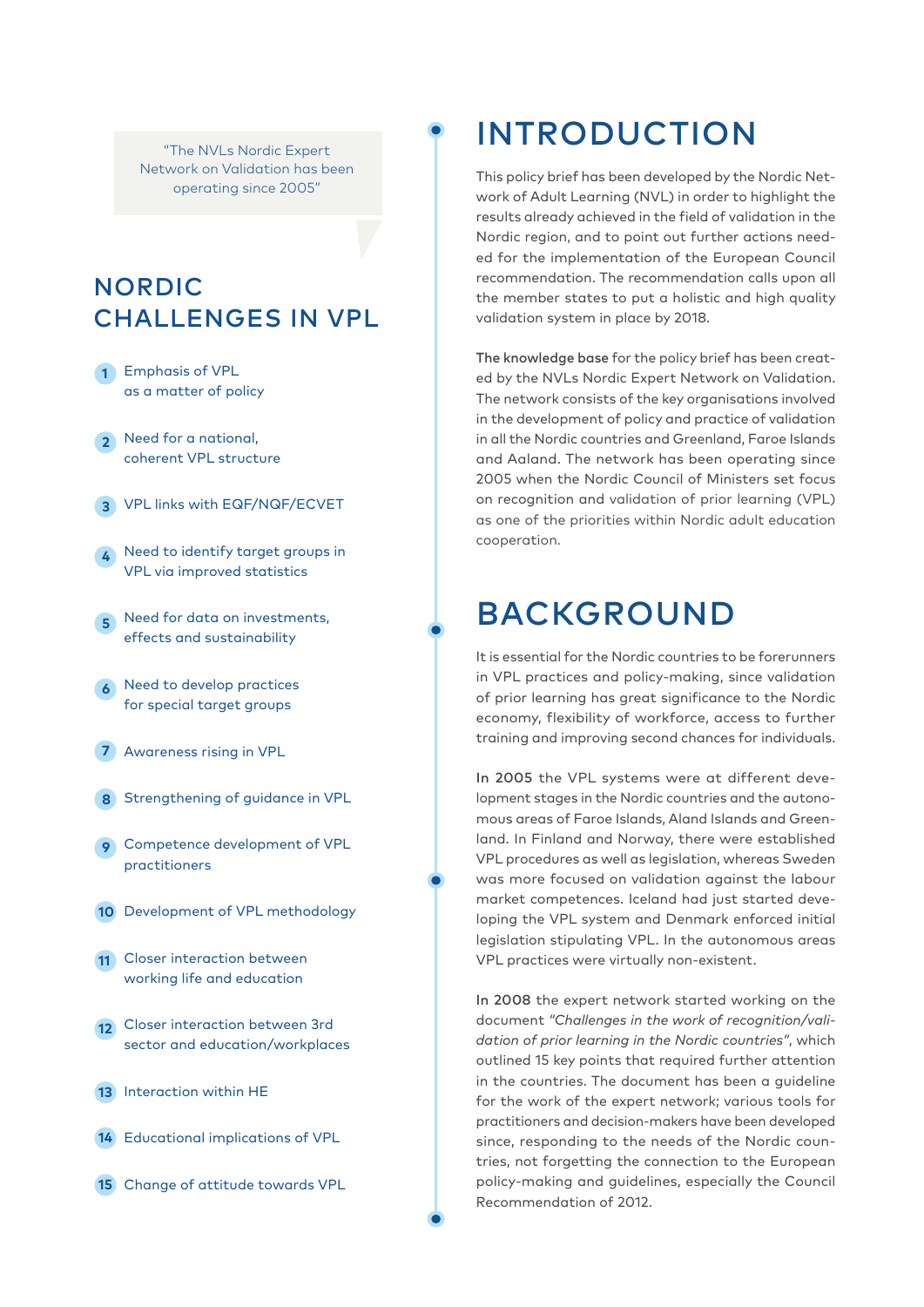"The NVLs Nordic Expert Network on Validation has been operating since 2005"

## NORDIC CHALLENGES IN VPL

- **1** Emphasis of VPL as a matter of policy
- Need for a national, **2** coherent VPL structure
- VPL links with EQF/NQF/ECVET **3**
- Need to identify target groups in VPL via improved statistics **4**
- Need for data on investments, **5** effects and sustainability
- Need to develop practices **6** for special target groups
- Awareness rising in VPL **7**
- 8 Strengthening of guidance in VPL
- Competence development of VPL **9** practitioners
- 10 Development of VPL methodology
- Closer interaction between **11** working life and education
- Closer interaction between 3rd **12** sector and education/workplaces
- 13 Interaction within HE
- 14 Educational implications of VPL
- Change of attitude towards VPL **15**

# INTRODUCTION

This policy brief has been developed by the Nordic Network of Adult Learning (NVL) in order to highlight the results already achieved in the field of validation in the Nordic region, and to point out further actions needed for the implementation of the European Council recommendation. The recommendation calls upon all the member states to put a holistic and high quality validation system in place by 2018.

The knowledge base for the policy brief has been created by the NVLs Nordic Expert Network on Validation. The network consists of the key organisations involved in the development of policy and practice of validation in all the Nordic countries and Greenland, Faroe Islands and Aaland. The network has been operating since 2005 when the Nordic Council of Ministers set focus on recognition and validation of prior learning (VPL) as one of the priorities within Nordic adult education cooperation.

# BACKGROUND

It is essential for the Nordic countries to be forerunners in VPL practices and policy-making, since validation of prior learning has great significance to the Nordic economy, flexibility of workforce, access to further training and improving second chances for individuals.

In 2005 the VPL systems were at different development stages in the Nordic countries and the autonomous areas of Faroe Islands, Aland Islands and Greenland. In Finland and Norway, there were established VPL procedures as well as legislation, whereas Sweden was more focused on validation against the labour market competences. Iceland had just started developing the VPL system and Denmark enforced initial legislation stipulating VPL. In the autonomous areas VPL practices were virtually non-existent.

In 2008 the expert network started working on the document *"Challenges in the work of recognition/validation of prior learning in the Nordic countries"*, which outlined 15 key points that required further attention in the countries. The document has been a guideline for the work of the expert network; various tools for practitioners and decision-makers have been developed since, responding to the needs of the Nordic countries, not forgetting the connection to the European policy-making and guidelines, especially the Council Recommendation of 2012.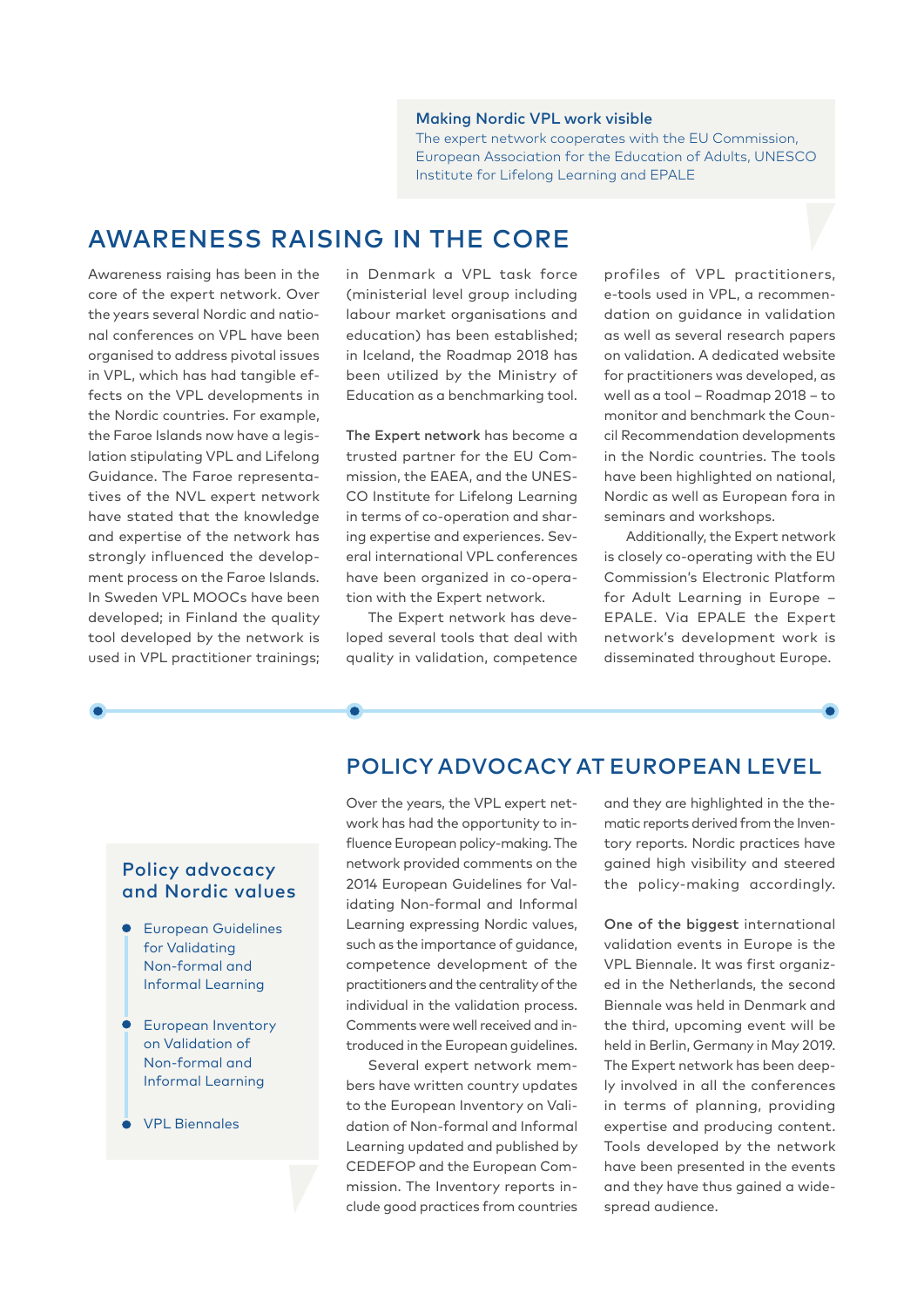#### Making Nordic VPL work visible

The expert network cooperates with the EU Commission, European Association for the Education of Adults, UNESCO Institute for Lifelong Learning and EPALE

## AWARENESS RAISING IN THE CORE

Awareness raising has been in the core of the expert network. Over the years several Nordic and national conferences on VPL have been organised to address pivotal issues in VPL, which has had tangible effects on the VPL developments in the Nordic countries. For example, the Faroe Islands now have a legislation stipulating VPL and Lifelong Guidance. The Faroe representatives of the NVL expert network have stated that the knowledge and expertise of the network has strongly influenced the development process on the Faroe Islands. In Sweden VPL MOOCs have been developed; in Finland the quality tool developed by the network is used in VPL practitioner trainings;

in Denmark a VPL task force (ministerial level group including labour market organisations and education) has been established; in Iceland, the Roadmap 2018 has been utilized by the Ministry of Education as a benchmarking tool.

The Expert network has become a trusted partner for the EU Commission, the EAEA, and the UNES-CO Institute for Lifelong Learning in terms of co-operation and sharing expertise and experiences. Several international VPL conferences have been organized in co-operation with the Expert network.

The Expert network has developed several tools that deal with quality in validation, competence profiles of VPL practitioners, e-tools used in VPL, a recommendation on guidance in validation as well as several research papers on validation. A dedicated website for practitioners was developed, as well as a tool – Roadmap 2018 – to monitor and benchmark the Council Recommendation developments in the Nordic countries. The tools have been highlighted on national, Nordic as well as European fora in seminars and workshops.

Additionally, the Expert network is closely co-operating with the EU Commission's Electronic Platform for Adult Learning in Europe – EPALE. Via EPALE the Expert network's development work is disseminated throughout Europe.

### POLICY ADVOCACY AT EUROPEAN LEVEL

#### Policy advocacy and Nordic values

- European Guidelines for Validating Non-formal and Informal Learning
- **European Inventory** on Validation of Non-formal and Informal Learning
- VPL Biennales

Over the years, the VPL expert network has had the opportunity to influence European policy-making. The network provided comments on the 2014 European Guidelines for Validating Non-formal and Informal Learning expressing Nordic values, such as the importance of guidance, competence development of the practitioners and the centrality of the individual in the validation process. Comments were well received and introduced in the European guidelines.

Several expert network members have written country updates to the European Inventory on Validation of Non-formal and Informal Learning updated and published by CEDEFOP and the European Commission. The Inventory reports include good practices from countries

and they are highlighted in the thematic reports derived from the Inventory reports. Nordic practices have gained high visibility and steered the policy-making accordingly.

One of the biggest international validation events in Europe is the VPL Biennale. It was first organized in the Netherlands, the second Biennale was held in Denmark and the third, upcoming event will be held in Berlin, Germany in May 2019. The Expert network has been deeply involved in all the conferences in terms of planning, providing expertise and producing content. Tools developed by the network have been presented in the events and they have thus gained a widespread audience.